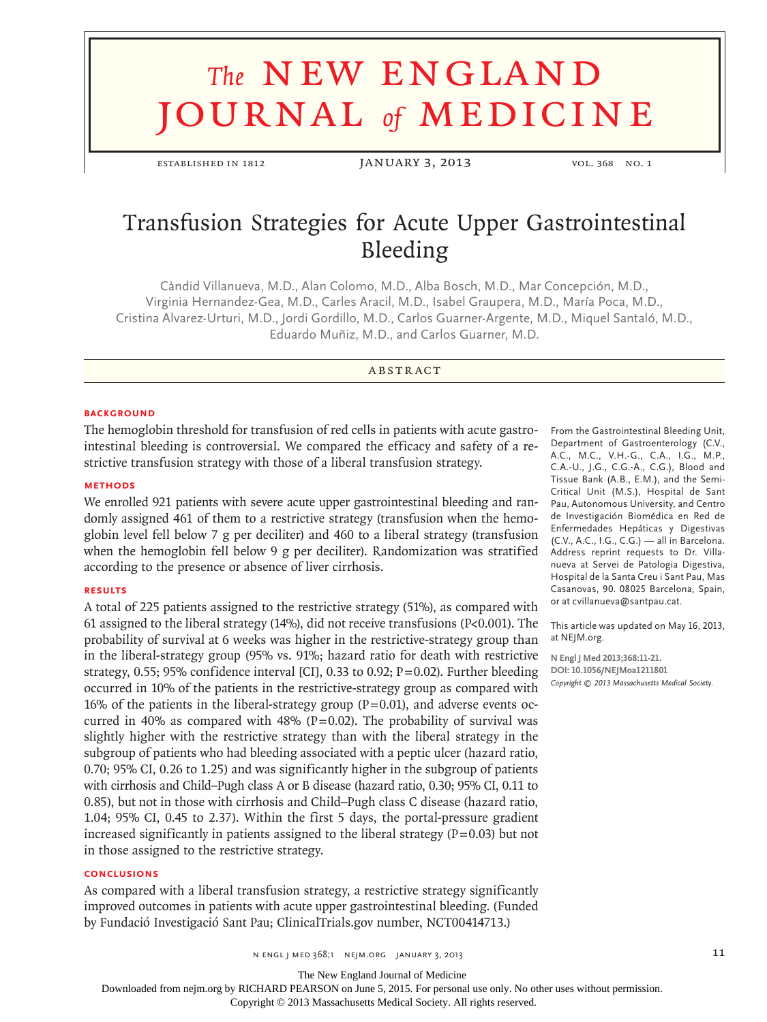# **The NEW ENGLAND** journal *of* medicine

ESTABLISHED IN 1812 JANUARY 3, 2013 vol. 368 no. 1

# Transfusion Strategies for Acute Upper Gastrointestinal Bleeding

Càndid Villanueva, M.D., Alan Colomo, M.D., Alba Bosch, M.D., Mar Concepción, M.D., Virginia Hernandez-Gea, M.D., Carles Aracil, M.D., Isabel Graupera, M.D., María Poca, M.D., Cristina Alvarez-Urturi, M.D., Jordi Gordillo, M.D., Carlos Guarner-Argente, M.D., Miquel Santaló, M.D., Eduardo Muñiz, M.D., and Carlos Guarner, M.D.

# A BSTR ACT

# **BACKGROUND**

The hemoglobin threshold for transfusion of red cells in patients with acute gastrointestinal bleeding is controversial. We compared the efficacy and safety of a restrictive transfusion strategy with those of a liberal transfusion strategy.

# **Methods**

We enrolled 921 patients with severe acute upper gastrointestinal bleeding and randomly assigned 461 of them to a restrictive strategy (transfusion when the hemoglobin level fell below 7 g per deciliter) and 460 to a liberal strategy (transfusion when the hemoglobin fell below 9 g per deciliter). Randomization was stratified according to the presence or absence of liver cirrhosis.

# **Results**

A total of 225 patients assigned to the restrictive strategy (51%), as compared with 61 assigned to the liberal strategy  $(14%)$ , did not receive transfusions  $(P<0.001)$ . The probability of survival at 6 weeks was higher in the restrictive-strategy group than in the liberal-strategy group (95% vs. 91%; hazard ratio for death with restrictive strategy, 0.55; 95% confidence interval [CI], 0.33 to 0.92; P=0.02). Further bleeding occurred in 10% of the patients in the restrictive-strategy group as compared with 16% of the patients in the liberal-strategy group  $(P=0.01)$ , and adverse events occurred in 40% as compared with 48% (P=0.02). The probability of survival was slightly higher with the restrictive strategy than with the liberal strategy in the subgroup of patients who had bleeding associated with a peptic ulcer (hazard ratio, 0.70; 95% CI, 0.26 to 1.25) and was significantly higher in the subgroup of patients with cirrhosis and Child–Pugh class A or B disease (hazard ratio, 0.30; 95% CI, 0.11 to 0.85), but not in those with cirrhosis and Child–Pugh class C disease (hazard ratio, 1.04; 95% CI, 0.45 to 2.37). Within the first 5 days, the portal-pressure gradient increased significantly in patients assigned to the liberal strategy  $(P=0.03)$  but not in those assigned to the restrictive strategy.

# **Conclusions**

As compared with a liberal transfusion strategy, a restrictive strategy significantly improved outcomes in patients with acute upper gastrointestinal bleeding. (Funded by Fundació Investigació Sant Pau; ClinicalTrials.gov number, NCT00414713.)

From the Gastrointestinal Bleeding Unit, Department of Gastroenterology (C.V., A.C., M.C., V.H.-G., C.A., I.G., M.P., C.A.-U., J.G., C.G.-A., C.G.), Blood and Tissue Bank (A.B., E.M.), and the Semi-Critical Unit (M.S.), Hospital de Sant Pau, Autonomous University, and Centro de Investigación Biomédica en Red de Enfermedades Hepáticas y Digestivas (C.V., A.C., I.G., C.G.) — all in Barcelona. Address reprint requests to Dr. Villanueva at Servei de Patologia Digestiva, Hospital de la Santa Creu i Sant Pau, Mas Casanovas, 90. 08025 Barcelona, Spain, or at cvillanueva@santpau.cat.

This article was updated on May 16, 2013, at NEJM.org.

**N Engl J Med 2013;368:11-21. DOI: 10.1056/NEJMoa1211801** *Copyright © 2013 Massachusetts Medical Society.*

 $N$  engl j med 368;1  $N$  mejm.org january 3, 2013 11

The New England Journal of Medicine

Downloaded from nejm.org by RICHARD PEARSON on June 5, 2015. For personal use only. No other uses without permission.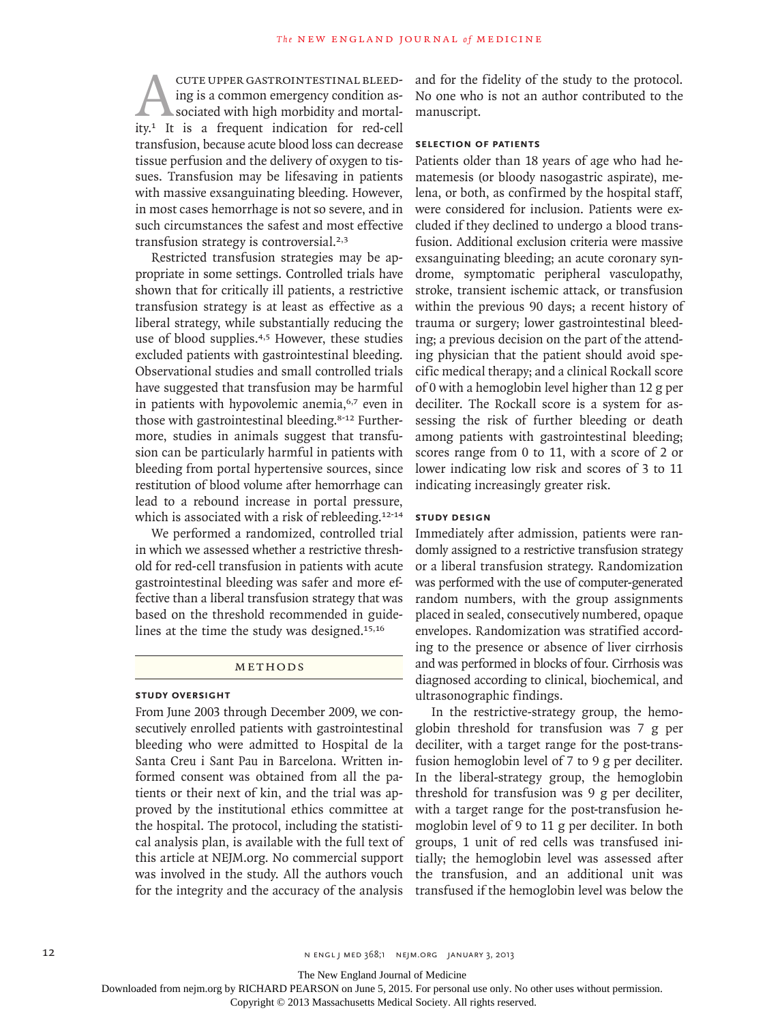CUTE UPPER GASTROINTESTINAL BLEED-<br>ing is a common emergency condition as-<br>sociated with high morbidity and mortal-<br>ity.<sup>1</sup> It is a frequent indication for red-cell ing is a common emergency condition associated with high morbidity and mortaltransfusion, because acute blood loss can decrease tissue perfusion and the delivery of oxygen to tissues. Transfusion may be lifesaving in patients with massive exsanguinating bleeding. However, in most cases hemorrhage is not so severe, and in such circumstances the safest and most effective transfusion strategy is controversial.<sup>2,3</sup>

Restricted transfusion strategies may be appropriate in some settings. Controlled trials have shown that for critically ill patients, a restrictive transfusion strategy is at least as effective as a liberal strategy, while substantially reducing the use of blood supplies.<sup>4,5</sup> However, these studies excluded patients with gastrointestinal bleeding. Observational studies and small controlled trials have suggested that transfusion may be harmful in patients with hypovolemic anemia,<sup>6,7</sup> even in those with gastrointestinal bleeding.8-12 Furthermore, studies in animals suggest that transfusion can be particularly harmful in patients with bleeding from portal hypertensive sources, since restitution of blood volume after hemorrhage can lead to a rebound increase in portal pressure, which is associated with a risk of rebleeding.<sup>12-14</sup>

We performed a randomized, controlled trial in which we assessed whether a restrictive threshold for red-cell transfusion in patients with acute gastrointestinal bleeding was safer and more effective than a liberal transfusion strategy that was based on the threshold recommended in guidelines at the time the study was designed.15,16

# METHODS

#### **Study Oversight**

From June 2003 through December 2009, we consecutively enrolled patients with gastrointestinal bleeding who were admitted to Hospital de la Santa Creu i Sant Pau in Barcelona. Written informed consent was obtained from all the patients or their next of kin, and the trial was approved by the institutional ethics committee at the hospital. The protocol, including the statistical analysis plan, is available with the full text of this article at NEJM.org. No commercial support was involved in the study. All the authors vouch for the integrity and the accuracy of the analysis

and for the fidelity of the study to the protocol. No one who is not an author contributed to the manuscript.

# **Selection of Patients**

Patients older than 18 years of age who had hematemesis (or bloody nasogastric aspirate), melena, or both, as confirmed by the hospital staff, were considered for inclusion. Patients were excluded if they declined to undergo a blood transfusion. Additional exclusion criteria were massive exsanguinating bleeding; an acute coronary syndrome, symptomatic peripheral vasculopathy, stroke, transient ischemic attack, or transfusion within the previous 90 days; a recent history of trauma or surgery; lower gastrointestinal bleeding; a previous decision on the part of the attending physician that the patient should avoid specific medical therapy; and a clinical Rockall score of 0 with a hemoglobin level higher than 12 g per deciliter. The Rockall score is a system for assessing the risk of further bleeding or death among patients with gastrointestinal bleeding; scores range from 0 to 11, with a score of 2 or lower indicating low risk and scores of 3 to 11 indicating increasingly greater risk.

# **Study Design**

Immediately after admission, patients were randomly assigned to a restrictive transfusion strategy or a liberal transfusion strategy. Randomization was performed with the use of computer-generated random numbers, with the group assignments placed in sealed, consecutively numbered, opaque envelopes. Randomization was stratified according to the presence or absence of liver cirrhosis and was performed in blocks of four. Cirrhosis was diagnosed according to clinical, biochemical, and ultrasonographic findings.

In the restrictive-strategy group, the hemoglobin threshold for transfusion was 7 g per deciliter, with a target range for the post-transfusion hemoglobin level of 7 to 9 g per deciliter. In the liberal-strategy group, the hemoglobin threshold for transfusion was 9 g per deciliter, with a target range for the post-transfusion hemoglobin level of 9 to 11 g per deciliter. In both groups, 1 unit of red cells was transfused initially; the hemoglobin level was assessed after the transfusion, and an additional unit was transfused if the hemoglobin level was below the

The New England Journal of Medicine

Downloaded from nejm.org by RICHARD PEARSON on June 5, 2015. For personal use only. No other uses without permission.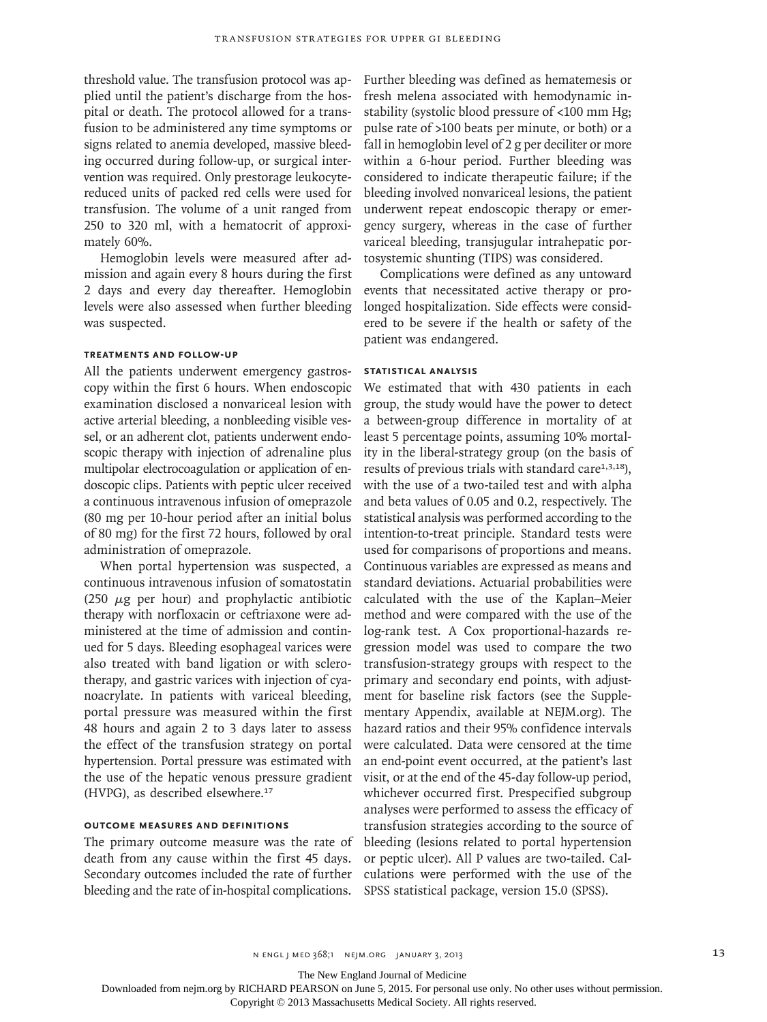threshold value. The transfusion protocol was applied until the patient's discharge from the hospital or death. The protocol allowed for a transfusion to be administered any time symptoms or signs related to anemia developed, massive bleeding occurred during follow-up, or surgical intervention was required. Only prestorage leukocytereduced units of packed red cells were used for transfusion. The volume of a unit ranged from 250 to 320 ml, with a hematocrit of approximately 60%.

Hemoglobin levels were measured after admission and again every 8 hours during the first 2 days and every day thereafter. Hemoglobin levels were also assessed when further bleeding was suspected.

# **Treatments and Follow-up**

All the patients underwent emergency gastroscopy within the first 6 hours. When endoscopic examination disclosed a nonvariceal lesion with active arterial bleeding, a nonbleeding visible vessel, or an adherent clot, patients underwent endoscopic therapy with injection of adrenaline plus multipolar electrocoagulation or application of endoscopic clips. Patients with peptic ulcer received a continuous intravenous infusion of omeprazole (80 mg per 10-hour period after an initial bolus of 80 mg) for the first 72 hours, followed by oral administration of omeprazole.

When portal hypertension was suspected, a continuous intravenous infusion of somatostatin (250  $\mu$ g per hour) and prophylactic antibiotic therapy with norfloxacin or ceftriaxone were administered at the time of admission and continued for 5 days. Bleeding esophageal varices were also treated with band ligation or with sclerotherapy, and gastric varices with injection of cyanoacrylate. In patients with variceal bleeding, portal pressure was measured within the first 48 hours and again 2 to 3 days later to assess the effect of the transfusion strategy on portal hypertension. Portal pressure was estimated with the use of the hepatic venous pressure gradient (HVPG), as described elsewhere.<sup>17</sup>

# **Outcome Measures and Definitions**

The primary outcome measure was the rate of death from any cause within the first 45 days. Secondary outcomes included the rate of further bleeding and the rate of in-hospital complications.

Further bleeding was defined as hematemesis or fresh melena associated with hemodynamic instability (systolic blood pressure of <100 mm Hg; pulse rate of >100 beats per minute, or both) or a fall in hemoglobin level of 2 g per deciliter or more within a 6-hour period. Further bleeding was considered to indicate therapeutic failure; if the bleeding involved nonvariceal lesions, the patient underwent repeat endoscopic therapy or emergency surgery, whereas in the case of further variceal bleeding, transjugular intrahepatic portosystemic shunting (TIPS) was considered.

Complications were defined as any untoward events that necessitated active therapy or prolonged hospitalization. Side effects were considered to be severe if the health or safety of the patient was endangered.

#### **Statistical Analysis**

We estimated that with 430 patients in each group, the study would have the power to detect a between-group difference in mortality of at least 5 percentage points, assuming 10% mortality in the liberal-strategy group (on the basis of results of previous trials with standard care $1,3,18$ ), with the use of a two-tailed test and with alpha and beta values of 0.05 and 0.2, respectively. The statistical analysis was performed according to the intention-to-treat principle. Standard tests were used for comparisons of proportions and means. Continuous variables are expressed as means and standard deviations. Actuarial probabilities were calculated with the use of the Kaplan–Meier method and were compared with the use of the log-rank test. A Cox proportional-hazards regression model was used to compare the two transfusion-strategy groups with respect to the primary and secondary end points, with adjustment for baseline risk factors (see the Supplementary Appendix, available at NEJM.org). The hazard ratios and their 95% confidence intervals were calculated. Data were censored at the time an end-point event occurred, at the patient's last visit, or at the end of the 45-day follow-up period, whichever occurred first. Prespecified subgroup analyses were performed to assess the efficacy of transfusion strategies according to the source of bleeding (lesions related to portal hypertension or peptic ulcer). All P values are two-tailed. Calculations were performed with the use of the SPSS statistical package, version 15.0 (SPSS).

 $N$  engl j med 368;1  $N$  mejm.org january 3, 2013 13

The New England Journal of Medicine

Downloaded from nejm.org by RICHARD PEARSON on June 5, 2015. For personal use only. No other uses without permission.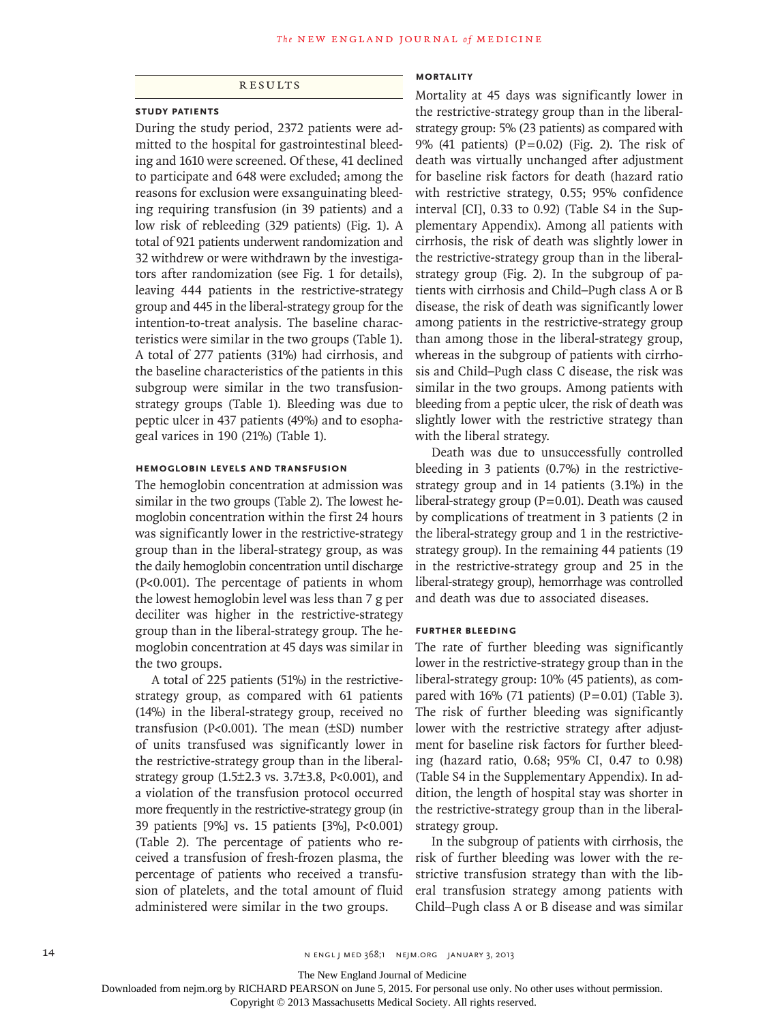# **RESULTS**

# **Study Patients**

During the study period, 2372 patients were admitted to the hospital for gastrointestinal bleeding and 1610 were screened. Of these, 41 declined to participate and 648 were excluded; among the reasons for exclusion were exsanguinating bleeding requiring transfusion (in 39 patients) and a low risk of rebleeding (329 patients) (Fig. 1). A total of 921 patients underwent randomization and 32 withdrew or were withdrawn by the investigators after randomization (see Fig. 1 for details), leaving 444 patients in the restrictive-strategy group and 445 in the liberal-strategy group for the intention-to-treat analysis. The baseline characteristics were similar in the two groups (Table 1). A total of 277 patients (31%) had cirrhosis, and the baseline characteristics of the patients in this subgroup were similar in the two transfusionstrategy groups (Table 1). Bleeding was due to peptic ulcer in 437 patients (49%) and to esophageal varices in 190 (21%) (Table 1).

# **Hemoglobin Levels and Transfusion**

The hemoglobin concentration at admission was similar in the two groups (Table 2). The lowest hemoglobin concentration within the first 24 hours was significantly lower in the restrictive-strategy group than in the liberal-strategy group, as was the daily hemoglobin concentration until discharge (P<0.001). The percentage of patients in whom the lowest hemoglobin level was less than 7 g per deciliter was higher in the restrictive-strategy group than in the liberal-strategy group. The hemoglobin concentration at 45 days was similar in the two groups.

A total of 225 patients (51%) in the restrictivestrategy group, as compared with 61 patients (14%) in the liberal-strategy group, received no transfusion (P<0.001). The mean (±SD) number of units transfused was significantly lower in the restrictive-strategy group than in the liberalstrategy group (1.5±2.3 vs. 3.7±3.8, P<0.001), and a violation of the transfusion protocol occurred more frequently in the restrictive-strategy group (in 39 patients [9%] vs. 15 patients [3%], P<0.001) (Table 2). The percentage of patients who received a transfusion of fresh-frozen plasma, the percentage of patients who received a transfusion of platelets, and the total amount of fluid administered were similar in the two groups.

# **Mortality**

Mortality at 45 days was significantly lower in the restrictive-strategy group than in the liberalstrategy group: 5% (23 patients) as compared with 9% (41 patients)  $(P=0.02)$  (Fig. 2). The risk of death was virtually unchanged after adjustment for baseline risk factors for death (hazard ratio with restrictive strategy, 0.55; 95% confidence interval [CI], 0.33 to 0.92) (Table S4 in the Supplementary Appendix). Among all patients with cirrhosis, the risk of death was slightly lower in the restrictive-strategy group than in the liberalstrategy group (Fig. 2). In the subgroup of patients with cirrhosis and Child–Pugh class A or B disease, the risk of death was significantly lower among patients in the restrictive-strategy group than among those in the liberal-strategy group, whereas in the subgroup of patients with cirrhosis and Child–Pugh class C disease, the risk was similar in the two groups. Among patients with bleeding from a peptic ulcer, the risk of death was slightly lower with the restrictive strategy than with the liberal strategy.

Death was due to unsuccessfully controlled bleeding in 3 patients (0.7%) in the restrictivestrategy group and in 14 patients (3.1%) in the liberal-strategy group (P=0.01). Death was caused by complications of treatment in 3 patients (2 in the liberal-strategy group and 1 in the restrictivestrategy group). In the remaining 44 patients (19 in the restrictive-strategy group and 25 in the liberal-strategy group), hemorrhage was controlled and death was due to associated diseases.

# **Further Bleeding**

The rate of further bleeding was significantly lower in the restrictive-strategy group than in the liberal-strategy group: 10% (45 patients), as compared with 16% (71 patients) ( $P=0.01$ ) (Table 3). The risk of further bleeding was significantly lower with the restrictive strategy after adjustment for baseline risk factors for further bleeding (hazard ratio, 0.68; 95% CI, 0.47 to 0.98) (Table S4 in the Supplementary Appendix). In addition, the length of hospital stay was shorter in the restrictive-strategy group than in the liberalstrategy group.

In the subgroup of patients with cirrhosis, the risk of further bleeding was lower with the restrictive transfusion strategy than with the liberal transfusion strategy among patients with Child–Pugh class A or B disease and was similar

The New England Journal of Medicine

Downloaded from nejm.org by RICHARD PEARSON on June 5, 2015. For personal use only. No other uses without permission.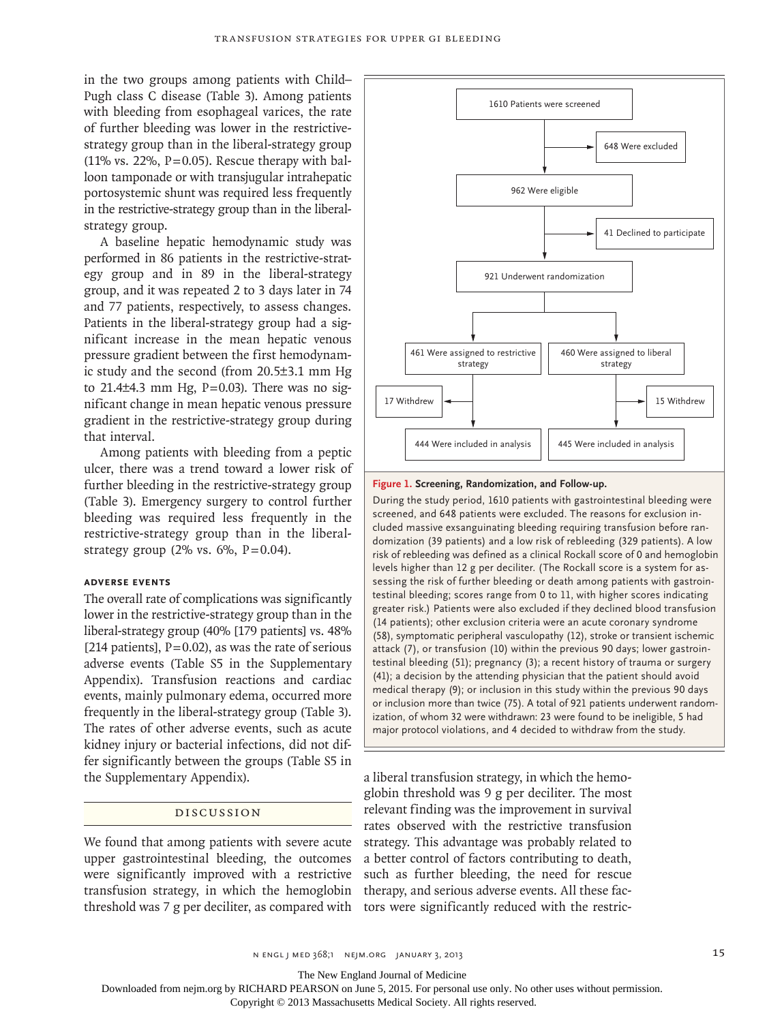in the two groups among patients with Child– Pugh class C disease (Table 3). Among patients with bleeding from esophageal varices, the rate of further bleeding was lower in the restrictivestrategy group than in the liberal-strategy group (11% vs. 22%,  $P=0.05$ ). Rescue therapy with balloon tamponade or with transjugular intrahepatic portosystemic shunt was required less frequently in the restrictive-strategy group than in the liberalstrategy group.

A baseline hepatic hemodynamic study was performed in 86 patients in the restrictive-strategy group and in 89 in the liberal-strategy group, and it was repeated 2 to 3 days later in 74 and 77 patients, respectively, to assess changes. Patients in the liberal-strategy group had a significant increase in the mean hepatic venous pressure gradient between the first hemodynamic study and the second (from 20.5±3.1 mm Hg to  $21.4\pm4.3$  mm Hg,  $P=0.03$ ). There was no significant change in mean hepatic venous pressure gradient in the restrictive-strategy group during that interval.

Among patients with bleeding from a peptic ulcer, there was a trend toward a lower risk of further bleeding in the restrictive-strategy group (Table 3). Emergency surgery to control further bleeding was required less frequently in the restrictive-strategy group than in the liberalstrategy group (2% vs.  $6\%$ , P=0.04).

# **Adverse Events**

The overall rate of complications was significantly lower in the restrictive-strategy group than in the liberal-strategy group (40% [179 patients] vs. 48% [214 patients],  $P=0.02$ ), as was the rate of serious adverse events (Table S5 in the Supplementary Appendix). Transfusion reactions and cardiac events, mainly pulmonary edema, occurred more frequently in the liberal-strategy group (Table 3). The rates of other adverse events, such as acute kidney injury or bacterial infections, did not differ significantly between the groups (Table S5 in the Supplementary Appendix).

# Discussion

We found that among patients with severe acute upper gastrointestinal bleeding, the outcomes were significantly improved with a restrictive transfusion strategy, in which the hemoglobin threshold was 7 g per deciliter, as compared with tors were significantly reduced with the restric-



#### **Figure 1. Screening, Randomization, and Follow-up.**

During the study period, 1610 patients with gastrointestinal bleeding were screened, and 648 patients were excluded. The reasons for exclusion included massive exsanguinating bleeding requiring transfusion before randomization (39 patients) and a low risk of rebleeding (329 patients). A low risk of rebleeding was defined as a clinical Rockall score of 0 and hemoglobin levels higher than 12 g per deciliter. (The Rockall score is a system for assessing the risk of further bleeding or death among patients with gastrointestinal bleeding; scores range from 0 to 11, with higher scores indicating greater risk.) Patients were also excluded if they declined blood transfusion (14 patients); other exclusion criteria were an acute coronary syndrome (58), symptomatic peripheral vasculopathy (12), stroke or transient ischemic attack (7), or transfusion (10) within the previous 90 days; lower gastrointestinal bleeding (51); pregnancy (3); a recent history of trauma or surgery (41); a decision by the attending physician that the patient should avoid medical therapy (9); or inclusion in this study within the previous 90 days or inclusion more than twice (75). A total of 921 patients underwent randomization, of whom 32 were withdrawn: 23 were found to be ineligible, 5 had major protocol violations, and 4 decided to withdraw from the study.

a liberal transfusion strategy, in which the hemoglobin threshold was 9 g per deciliter. The most relevant finding was the improvement in survival rates observed with the restrictive transfusion strategy. This advantage was probably related to a better control of factors contributing to death, such as further bleeding, the need for rescue therapy, and serious adverse events. All these fac-

The New England Journal of Medicine

Downloaded from nejm.org by RICHARD PEARSON on June 5, 2015. For personal use only. No other uses without permission.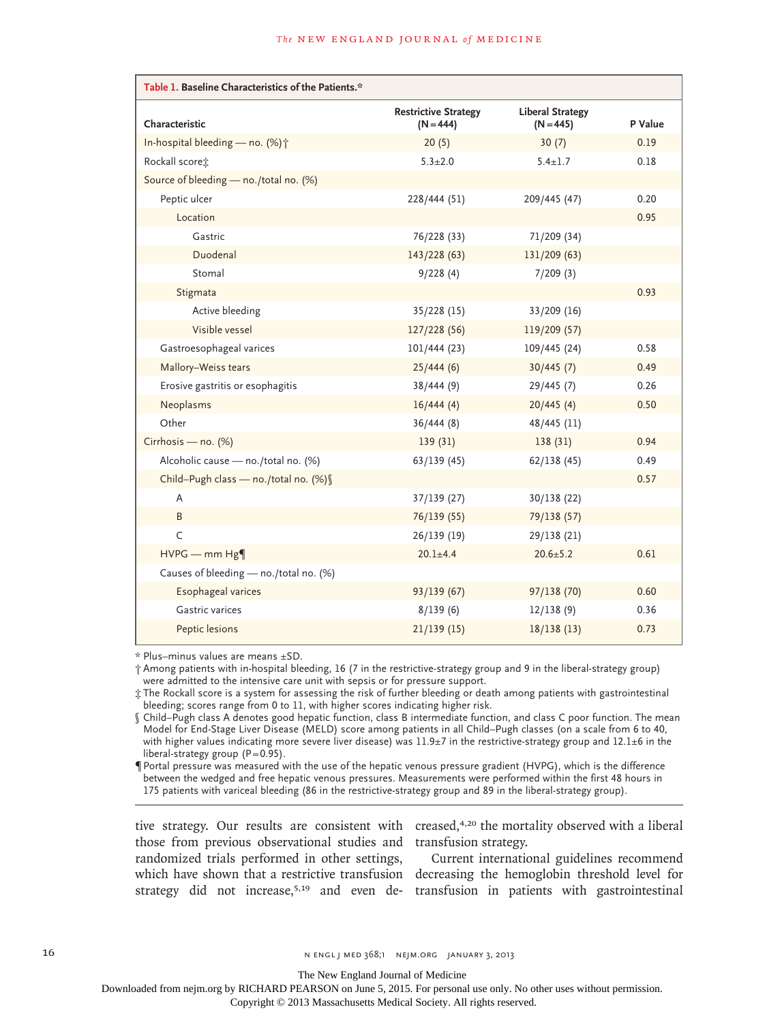| Table 1. Baseline Characteristics of the Patients.* |                                            |                                        |         |  |  |  |  |
|-----------------------------------------------------|--------------------------------------------|----------------------------------------|---------|--|--|--|--|
| Characteristic                                      | <b>Restrictive Strategy</b><br>$(N = 444)$ | <b>Liberal Strategy</b><br>$(N = 445)$ | P Value |  |  |  |  |
| In-hospital bleeding - no. $(\%)\uparrow$           | 20(5)                                      | 30(7)                                  | 0.19    |  |  |  |  |
| Rockall score :                                     | $5.3 \pm 2.0$                              | $5.4 \pm 1.7$                          | 0.18    |  |  |  |  |
| Source of bleeding - no./total no. (%)              |                                            |                                        |         |  |  |  |  |
| Peptic ulcer                                        | 228/444 (51)                               | 209/445 (47)                           | 0.20    |  |  |  |  |
| Location                                            |                                            |                                        | 0.95    |  |  |  |  |
| Gastric                                             | 76/228 (33)                                | 71/209 (34)                            |         |  |  |  |  |
| Duodenal                                            | 143/228(63)                                | 131/209 (63)                           |         |  |  |  |  |
| Stomal                                              | 9/228(4)                                   | 7/209(3)                               |         |  |  |  |  |
| Stigmata                                            |                                            |                                        | 0.93    |  |  |  |  |
| Active bleeding                                     | 35/228(15)                                 | $33/209$ (16)                          |         |  |  |  |  |
| Visible vessel                                      | 127/228 (56)                               | 119/209 (57)                           |         |  |  |  |  |
| Gastroesophageal varices                            | 101/444(23)                                | 109/445 (24)                           | 0.58    |  |  |  |  |
| Mallory-Weiss tears                                 | 25/444(6)                                  | 30/445(7)                              | 0.49    |  |  |  |  |
| Erosive gastritis or esophagitis                    | 38/444(9)                                  | 29/445(7)                              | 0.26    |  |  |  |  |
| Neoplasms                                           | 16/444(4)                                  | 20/445(4)                              | 0.50    |  |  |  |  |
| Other                                               | 36/444(8)                                  | 48/445 (11)                            |         |  |  |  |  |
| Cirrhosis - no. (%)                                 | 139(31)                                    | 138(31)                                | 0.94    |  |  |  |  |
| Alcoholic cause - no./total no. (%)                 | 63/139(45)                                 | 62/138(45)                             | 0.49    |  |  |  |  |
| Child-Pugh class - no./total no. (%) §              |                                            |                                        | 0.57    |  |  |  |  |
| A                                                   | 37/139(27)                                 | 30/138 (22)                            |         |  |  |  |  |
| B                                                   | 76/139 (55)                                | 79/138 (57)                            |         |  |  |  |  |
| C                                                   | 26/139(19)                                 | 29/138 (21)                            |         |  |  |  |  |
| $HVPG$ – mm $Hg\P$                                  | $20.1 + 4.4$                               | $20.6 \pm 5.2$                         | 0.61    |  |  |  |  |
| Causes of bleeding - no./total no. (%)              |                                            |                                        |         |  |  |  |  |
| Esophageal varices                                  | 93/139(67)                                 | 97/138(70)                             | 0.60    |  |  |  |  |
| Gastric varices                                     | 8/139(6)                                   | 12/138(9)                              | 0.36    |  |  |  |  |
| Peptic lesions                                      | 21/139(15)                                 | 18/138(13)                             | 0.73    |  |  |  |  |

\* Plus–minus values are means ±SD.

† Among patients with in-hospital bleeding, 16 (7 in the restrictive-strategy group and 9 in the liberal-strategy group) were admitted to the intensive care unit with sepsis or for pressure support.

‡ The Rockall score is a system for assessing the risk of further bleeding or death among patients with gastrointestinal bleeding; scores range from 0 to 11, with higher scores indicating higher risk.

§ Child–Pugh class A denotes good hepatic function, class B intermediate function, and class C poor function. The mean Model for End-Stage Liver Disease (MELD) score among patients in all Child–Pugh classes (on a scale from 6 to 40, with higher values indicating more severe liver disease) was  $11.9\pm7$  in the restrictive-strategy group and  $12.1\pm6$  in the liberal-strategy group  $(P=0.95)$ .

¶Portal pressure was measured with the use of the hepatic venous pressure gradient (HVPG), which is the difference between the wedged and free hepatic venous pressures. Measurements were performed within the first 48 hours in 175 patients with variceal bleeding (86 in the restrictive-strategy group and 89 in the liberal-strategy group).

those from previous observational studies and transfusion strategy. randomized trials performed in other settings,

tive strategy. Our results are consistent with creased,<sup>4,20</sup> the mortality observed with a liberal

which have shown that a restrictive transfusion decreasing the hemoglobin threshold level for strategy did not increase,<sup>5,19</sup> and even de- transfusion in patients with gastrointestinal Current international guidelines recommend

16 **16** N ENGL J MED 368;1 NEJM.ORG JANUARY 3, 2013

The New England Journal of Medicine

Downloaded from nejm.org by RICHARD PEARSON on June 5, 2015. For personal use only. No other uses without permission.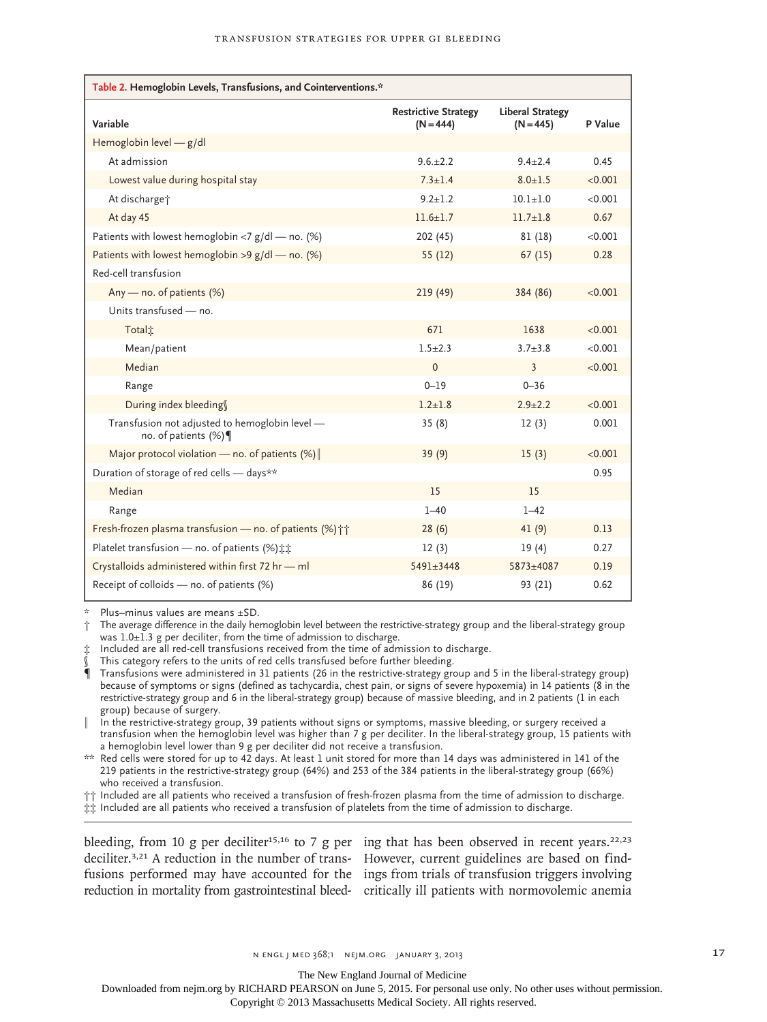| Table 2. Hemoglobin Levels, Transfusions, and Cointerventions.*       |                                            |                                        |         |
|-----------------------------------------------------------------------|--------------------------------------------|----------------------------------------|---------|
| Variable                                                              | <b>Restrictive Strategy</b><br>$(N = 444)$ | <b>Liberal Strategy</b><br>$(N = 445)$ | P Value |
| Hemoglobin level $-$ g/dl                                             |                                            |                                        |         |
| At admission                                                          | $9.6.+2.2$                                 | $9.4 + 2.4$                            | 0.45    |
| Lowest value during hospital stay                                     | $7.3 + 1.4$                                | $8.0 + 1.5$                            | < 0.001 |
| At discharge <sup>+</sup>                                             | $9.2 + 1.2$                                | $10.1 + 1.0$                           | < 0.001 |
| At day 45                                                             | $11.6 + 1.7$                               | $11.7 + 1.8$                           | 0.67    |
| Patients with lowest hemoglobin <7 $g/d$ – no. (%)                    | 202(45)                                    | 81 (18)                                | < 0.001 |
| Patients with lowest hemoglobin >9 $g/d$ – no. (%)                    | 55(12)                                     | 67(15)                                 | 0.28    |
| Red-cell transfusion                                                  |                                            |                                        |         |
| Any — no. of patients $(%)$                                           | 219(49)                                    | 384 (86)                               | < 0.001 |
| Units transfused - no.                                                |                                            |                                        |         |
| Total <sup>*</sup>                                                    | 671                                        | 1638                                   | < 0.001 |
| Mean/patient                                                          | $1.5 + 2.3$                                | $3.7 + 3.8$                            | < 0.001 |
| Median                                                                | $\Omega$                                   | 3                                      | < 0.001 |
| Range                                                                 | $0 - 19$                                   | $0 - 36$                               |         |
| During index bleeding                                                 | $1.2 + 1.8$                                | $2.9 + 2.2$                            | < 0.001 |
| Transfusion not adjusted to hemoglobin level -<br>no. of patients (%) | 35(8)                                      | 12(3)                                  | 0.001   |
| Major protocol violation — no. of patients $(\%)$                     | 39(9)                                      | 15(3)                                  | < 0.001 |
| Duration of storage of red cells - days**                             |                                            |                                        | 0.95    |
| Median                                                                | 15                                         | 15                                     |         |
| Range                                                                 | $1 - 40$                                   | $1 - 42$                               |         |
| Fresh-frozen plasma transfusion - no. of patients (%) <sup>++</sup>   | 28(6)                                      | 41(9)                                  | 0.13    |
| Platelet transfusion - no. of patients (%) it                         | 12(3)                                      | 19(4)                                  | 0.27    |
| Crystalloids administered within first 72 hr - ml                     | $5491 + 3448$                              | $5873 + 4087$                          | 0.19    |
| Receipt of colloids - no. of patients (%)                             | 86 (19)                                    | 93 (21)                                | 0.62    |

Plus–minus values are means ±SD.

† The average difference in the daily hemoglobin level between the restrictive-strategy group and the liberal-strategy group was  $1.0\pm1.3$  g per deciliter, from the time of admission to discharge.

‡ Included are all red-cell transfusions received from the time of admission to discharge.

This category refers to the units of red cells transfused before further bleeding.

¶ Transfusions were administered in 31 patients (26 in the restrictive-strategy group and 5 in the liberal-strategy group) because of symptoms or signs (defined as tachycardia, chest pain, or signs of severe hypoxemia) in 14 patients (8 in the restrictive-strategy group and 6 in the liberal-strategy group) because of massive bleeding, and in 2 patients (1 in each group) because of surgery.

‖ In the restrictive-strategy group, 39 patients without signs or symptoms, massive bleeding, or surgery received a transfusion when the hemoglobin level was higher than 7 g per deciliter. In the liberal-strategy group, 15 patients with a hemoglobin level lower than 9 g per deciliter did not receive a transfusion.

 $**$  Red cells were stored for up to 42 days. At least 1 unit stored for more than 14 days was administered in 141 of the 219 patients in the restrictive-strategy group (64%) and 253 of the 384 patients in the liberal-strategy group (66%) who received a transfusion.

†† Included are all patients who received a transfusion of fresh-frozen plasma from the time of admission to discharge.

‡‡ Included are all patients who received a transfusion of platelets from the time of admission to discharge.

deciliter.<sup>3,21</sup> A reduction in the number of trans- However, current guidelines are based on findfusions performed may have accounted for the ings from trials of transfusion triggers involving

bleeding, from 10 g per deciliter<sup>15,16</sup> to 7 g per ing that has been observed in recent years.<sup>22,23</sup> reduction in mortality from gastrointestinal bleed-critically ill patients with normovolemic anemia

n engl j med 368;1 nejm.org january 3, 2013 17

The New England Journal of Medicine Downloaded from nejm.org by RICHARD PEARSON on June 5, 2015. For personal use only. No other uses without permission.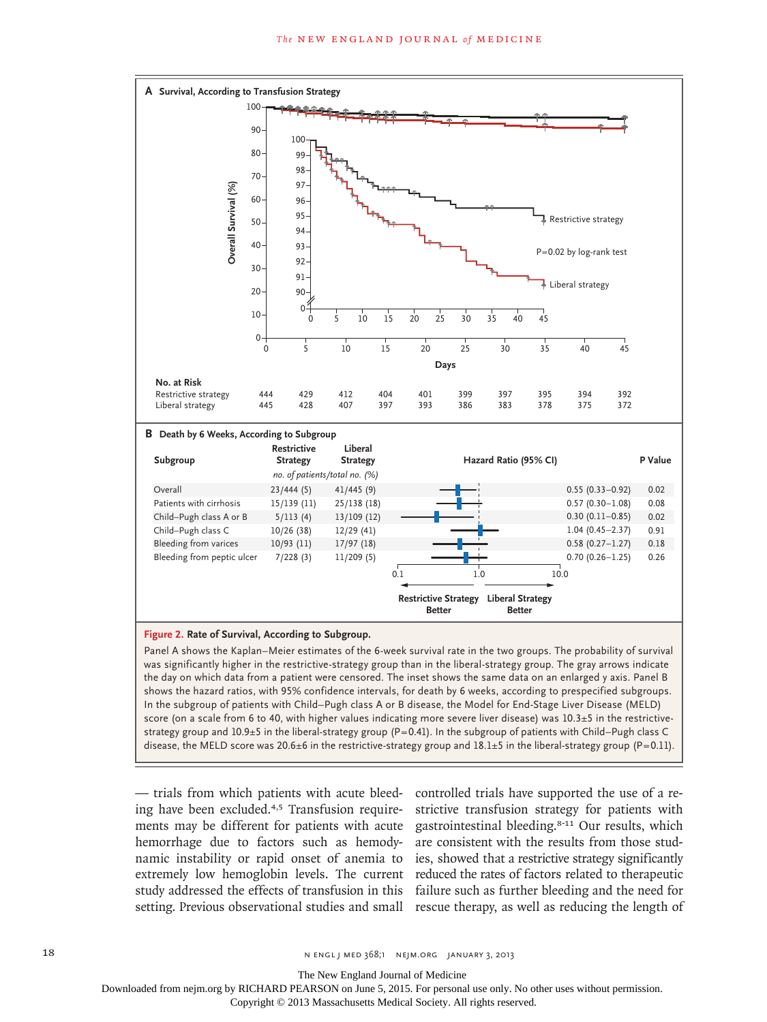

Panel A shows the Kaplan–Meier estimates of the 6-week survival rate in the two groups. The probability of survival was significantly higher in the restrictive-strategy group than in the liberal-strategy group. The gray arrows indicate the day on which data from a patient were censored. The inset shows the same data on an enlarged y axis. Panel B shows the hazard ratios, with 95% confidence intervals, for death by 6 weeks, according to prespecified subgroups. In the subgroup of patients with Child–Pugh class A or B disease, the Model for End-Stage Liver Disease (MELD) score (on a scale from 6 to 40, with higher values indicating more severe liver disease) was 10.3±5 in the restrictivestrategy group and 10.9±5 in the liberal-strategy group (P=0.41). In the subgroup of patients with Child–Pugh class C disease, the MELD score was 20.6 $\pm$ 6 in the restrictive-strategy group and 18.1 $\pm$ 5 in the liberal-strategy group (P=0.11).

— trials from which patients with acute bleeding have been excluded.4,5 Transfusion requirements may be different for patients with acute hemorrhage due to factors such as hemodynamic instability or rapid onset of anemia to extremely low hemoglobin levels. The current study addressed the effects of transfusion in this

setting. Previous observational studies and small rescue therapy, as well as reducing the length of controlled trials have supported the use of a restrictive transfusion strategy for patients with gastrointestinal bleeding.8-11 Our results, which are consistent with the results from those studies, showed that a restrictive strategy significantly reduced the rates of factors related to therapeutic failure such as further bleeding and the need for

The New England Journal of Medicine

Downloaded from nejm.org by RICHARD PEARSON on June 5, 2015. For personal use only. No other uses without permission.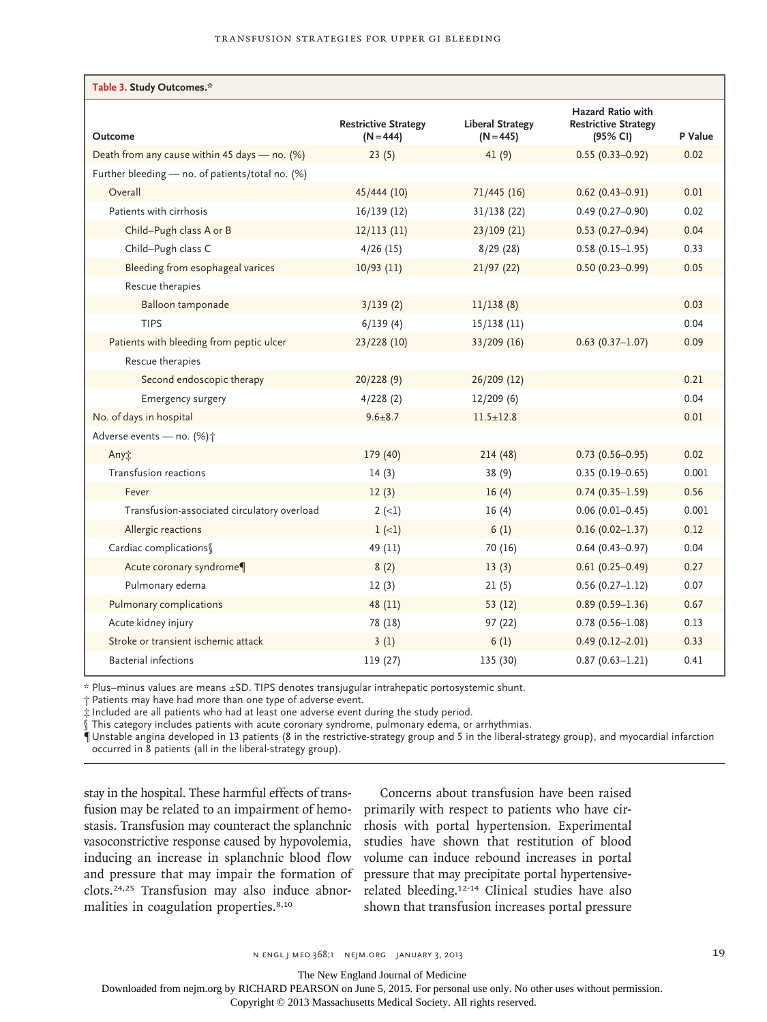| Table 3. Study Outcomes.*                        |                                            |                                        |                                                              |         |
|--------------------------------------------------|--------------------------------------------|----------------------------------------|--------------------------------------------------------------|---------|
| Outcome                                          | <b>Restrictive Strategy</b><br>$(N = 444)$ | <b>Liberal Strategy</b><br>$(N = 445)$ | Hazard Ratio with<br><b>Restrictive Strategy</b><br>(95% CI) | P Value |
| Death from any cause within 45 days - no. (%)    | 23(5)                                      | 41(9)                                  | $0.55(0.33 - 0.92)$                                          | 0.02    |
| Further bleeding - no. of patients/total no. (%) |                                            |                                        |                                                              |         |
| Overall                                          | 45/444 (10)                                | 71/445(16)                             | $0.62$ (0.43-0.91)                                           | 0.01    |
| Patients with cirrhosis                          | 16/139(12)                                 | 31/138(22)                             | $0.49(0.27 - 0.90)$                                          | 0.02    |
| Child-Pugh class A or B                          | 12/113(11)                                 | 23/109(21)                             | $0.53(0.27-0.94)$                                            | 0.04    |
| Child-Pugh class C                               | 4/26(15)                                   | 8/29(28)                               | $0.58(0.15 - 1.95)$                                          | 0.33    |
| Bleeding from esophageal varices                 | $10/93$ (11)                               | 21/97(22)                              | $0.50(0.23 - 0.99)$                                          | 0.05    |
| Rescue therapies                                 |                                            |                                        |                                                              |         |
| Balloon tamponade                                | 3/139(2)                                   | 11/138(8)                              |                                                              | 0.03    |
| <b>TIPS</b>                                      | 6/139(4)                                   | 15/138(11)                             |                                                              | 0.04    |
| Patients with bleeding from peptic ulcer         | 23/228 (10)                                | 33/209 (16)                            | $0.63(0.37 - 1.07)$                                          | 0.09    |
| Rescue therapies                                 |                                            |                                        |                                                              |         |
| Second endoscopic therapy                        | 20/228(9)                                  | 26/209 (12)                            |                                                              | 0.21    |
| <b>Emergency surgery</b>                         | 4/228(2)                                   | 12/209(6)                              |                                                              | 0.04    |
| No. of days in hospital                          | $9.6 \pm 8.7$                              | $11.5 \pm 12.8$                        |                                                              | 0.01    |
| Adverse events - no. (%) +                       |                                            |                                        |                                                              |         |
| Any                                              | 179 (40)                                   | 214(48)                                | $0.73(0.56 - 0.95)$                                          | 0.02    |
| Transfusion reactions                            | 14(3)                                      | 38(9)                                  | $0.35(0.19 - 0.65)$                                          | 0.001   |
| Fever                                            | 12(3)                                      | 16(4)                                  | $0.74(0.35 - 1.59)$                                          | 0.56    |
| Transfusion-associated circulatory overload      | $2 (-1)$                                   | 16(4)                                  | $0.06(0.01 - 0.45)$                                          | 0.001   |
| Allergic reactions                               | $1 (-1)$                                   | 6(1)                                   | $0.16(0.02 - 1.37)$                                          | 0.12    |
| Cardiac complications                            | 49 (11)                                    | 70 (16)                                | $0.64(0.43 - 0.97)$                                          | 0.04    |
| Acute coronary syndrome¶                         | 8(2)                                       | 13(3)                                  | $0.61(0.25 - 0.49)$                                          | 0.27    |
| Pulmonary edema                                  | 12(3)                                      | 21(5)                                  | $0.56(0.27-1.12)$                                            | 0.07    |
| Pulmonary complications                          | 48 (11)                                    | 53(12)                                 | $0.89(0.59 - 1.36)$                                          | 0.67    |
| Acute kidney injury                              | 78 (18)                                    | 97 (22)                                | $0.78(0.56 - 1.08)$                                          | 0.13    |
| Stroke or transient ischemic attack              | 3(1)                                       | 6(1)                                   | $0.49(0.12 - 2.01)$                                          | 0.33    |
| <b>Bacterial infections</b>                      | 119 (27)                                   | 135 (30)                               | $0.87(0.63 - 1.21)$                                          | 0.41    |

\* Plus–minus values are means ±SD. TIPS denotes transjugular intrahepatic portosystemic shunt.

† Patients may have had more than one type of adverse event.

‡ Included are all patients who had at least one adverse event during the study period.

§ This category includes patients with acute coronary syndrome, pulmonary edema, or arrhythmias.

¶Unstable angina developed in 13 patients (8 in the restrictive-strategy group and 5 in the liberal-strategy group), and myocardial infarction occurred in 8 patients (all in the liberal-strategy group).

stay in the hospital. These harmful effects of transfusion may be related to an impairment of hemostasis. Transfusion may counteract the splanchnic vasoconstrictive response caused by hypovolemia, inducing an increase in splanchnic blood flow and pressure that may impair the formation of clots.24,25 Transfusion may also induce abnormalities in coagulation properties.8,10

Concerns about transfusion have been raised primarily with respect to patients who have cirrhosis with portal hypertension. Experimental studies have shown that restitution of blood volume can induce rebound increases in portal pressure that may precipitate portal hypertensiverelated bleeding.12-14 Clinical studies have also shown that transfusion increases portal pressure

The New England Journal of Medicine

Downloaded from nejm.org by RICHARD PEARSON on June 5, 2015. For personal use only. No other uses without permission.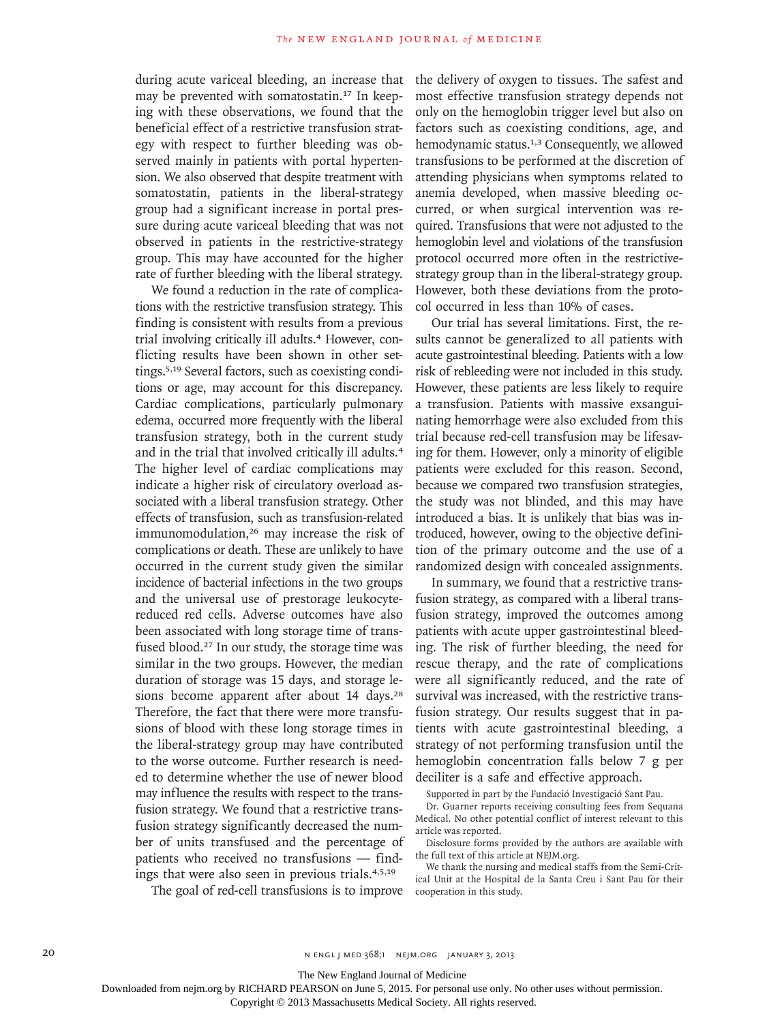during acute variceal bleeding, an increase that may be prevented with somatostatin.17 In keeping with these observations, we found that the beneficial effect of a restrictive transfusion strategy with respect to further bleeding was observed mainly in patients with portal hypertension. We also observed that despite treatment with somatostatin, patients in the liberal-strategy group had a significant increase in portal pressure during acute variceal bleeding that was not observed in patients in the restrictive-strategy group. This may have accounted for the higher rate of further bleeding with the liberal strategy.

We found a reduction in the rate of complications with the restrictive transfusion strategy. This finding is consistent with results from a previous trial involving critically ill adults.<sup>4</sup> However, conflicting results have been shown in other settings.5,19 Several factors, such as coexisting conditions or age, may account for this discrepancy. Cardiac complications, particularly pulmonary edema, occurred more frequently with the liberal transfusion strategy, both in the current study and in the trial that involved critically ill adults.<sup>4</sup> The higher level of cardiac complications may indicate a higher risk of circulatory overload associated with a liberal transfusion strategy. Other effects of transfusion, such as transfusion-related immunomodulation,26 may increase the risk of complications or death. These are unlikely to have occurred in the current study given the similar incidence of bacterial infections in the two groups and the universal use of prestorage leukocytereduced red cells. Adverse outcomes have also been associated with long storage time of transfused blood.27 In our study, the storage time was similar in the two groups. However, the median duration of storage was 15 days, and storage lesions become apparent after about 14 days.<sup>28</sup> Therefore, the fact that there were more transfusions of blood with these long storage times in the liberal-strategy group may have contributed to the worse outcome. Further research is needed to determine whether the use of newer blood may influence the results with respect to the transfusion strategy. We found that a restrictive transfusion strategy significantly decreased the number of units transfused and the percentage of patients who received no transfusions — findings that were also seen in previous trials.4,5,19

The goal of red-cell transfusions is to improve

the delivery of oxygen to tissues. The safest and most effective transfusion strategy depends not only on the hemoglobin trigger level but also on factors such as coexisting conditions, age, and hemodynamic status.<sup>1,3</sup> Consequently, we allowed transfusions to be performed at the discretion of attending physicians when symptoms related to anemia developed, when massive bleeding occurred, or when surgical intervention was required. Transfusions that were not adjusted to the hemoglobin level and violations of the transfusion protocol occurred more often in the restrictivestrategy group than in the liberal-strategy group. However, both these deviations from the protocol occurred in less than 10% of cases.

Our trial has several limitations. First, the results cannot be generalized to all patients with acute gastrointestinal bleeding. Patients with a low risk of rebleeding were not included in this study. However, these patients are less likely to require a transfusion. Patients with massive exsanguinating hemorrhage were also excluded from this trial because red-cell transfusion may be lifesaving for them. However, only a minority of eligible patients were excluded for this reason. Second, because we compared two transfusion strategies, the study was not blinded, and this may have introduced a bias. It is unlikely that bias was introduced, however, owing to the objective definition of the primary outcome and the use of a randomized design with concealed assignments.

In summary, we found that a restrictive transfusion strategy, as compared with a liberal transfusion strategy, improved the outcomes among patients with acute upper gastrointestinal bleeding. The risk of further bleeding, the need for rescue therapy, and the rate of complications were all significantly reduced, and the rate of survival was increased, with the restrictive transfusion strategy. Our results suggest that in patients with acute gastrointestinal bleeding, a strategy of not performing transfusion until the hemoglobin concentration falls below 7 g per deciliter is a safe and effective approach.

Supported in part by the Fundació Investigació Sant Pau.

Dr. Guarner reports receiving consulting fees from Sequana Medical. No other potential conflict of interest relevant to this article was reported.

Disclosure forms provided by the authors are available with the full text of this article at NEJM.org.

We thank the nursing and medical staffs from the Semi-Critical Unit at the Hospital de la Santa Creu i Sant Pau for their cooperation in this study.

20 n engl j med 368;1 nejm.org january 3, 2013

The New England Journal of Medicine

Downloaded from nejm.org by RICHARD PEARSON on June 5, 2015. For personal use only. No other uses without permission.